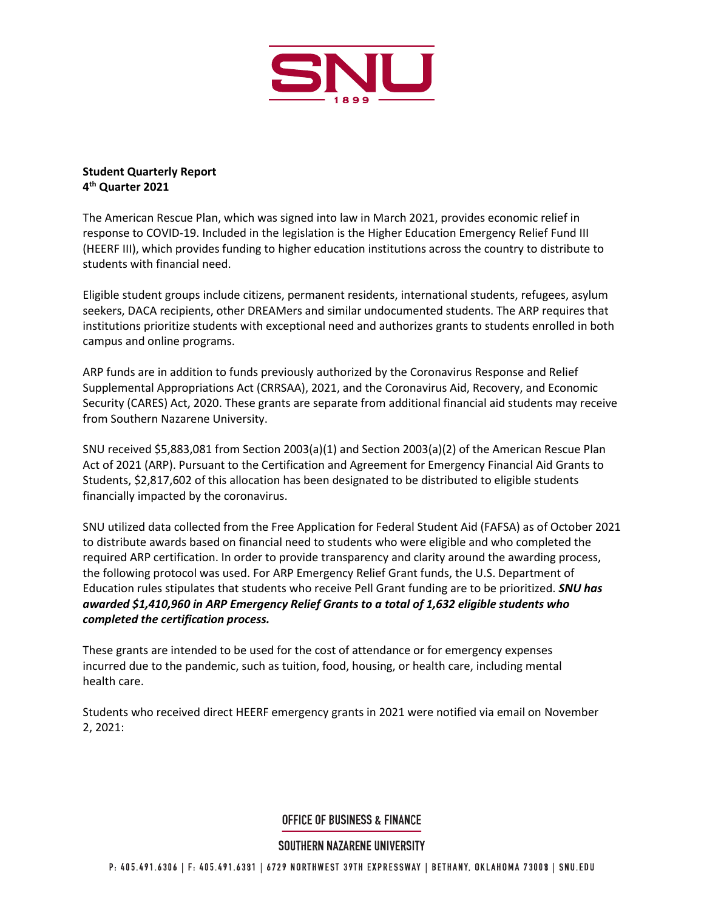

## **Student Quarterly Report 4 th Quarter 2021**

The American Rescue Plan, which was signed into law in March 2021, provides economic relief in response to COVID-19. Included in the legislation is the Higher Education Emergency Relief Fund III (HEERF III), which provides funding to higher education institutions across the country to distribute to students with financial need.

Eligible student groups include citizens, permanent residents, international students, refugees, asylum seekers, DACA recipients, other DREAMers and similar undocumented students. The ARP requires that institutions prioritize students with exceptional need and authorizes grants to students enrolled in both campus and online programs.

ARP funds are in addition to funds previously authorized by the Coronavirus Response and Relief Supplemental Appropriations Act (CRRSAA), 2021, and the Coronavirus Aid, Recovery, and Economic Security (CARES) Act, 2020. These grants are separate from additional financial aid students may receive from Southern Nazarene University.

SNU received \$5,883,081 from Section 2003(a)(1) and Section 2003(a)(2) of the American Rescue Plan Act of 2021 (ARP). Pursuant to the Certification and Agreement for Emergency Financial Aid Grants to Students, \$2,817,602 of this allocation has been designated to be distributed to eligible students financially impacted by the coronavirus.

SNU utilized data collected from the Free Application for Federal Student Aid (FAFSA) as of October 2021 to distribute awards based on financial need to students who were eligible and who completed the required ARP certification. In order to provide transparency and clarity around the awarding process, the following protocol was used. For ARP Emergency Relief Grant funds, the U.S. Department of Education rules stipulates that students who receive Pell Grant funding are to be prioritized. *SNU has awarded \$1,410,960 in ARP Emergency Relief Grants to a total of 1,632 eligible students who completed the certification process.*

These grants are intended to be used for the cost of attendance or for emergency expenses incurred due to the pandemic, such as tuition, food, housing, or health care, including mental health care.

Students who received direct HEERF emergency grants in 2021 were notified via email on November 2, 2021:

## **OFFICE OF BUSINESS & FINANCE**

## SOUTHERN NAZARENE UNIVERSITY

P: 405.491.6306 | F: 405.491.6381 | 6729 NORTHWEST 39TH EXPRESSWAY | BETHANY, OKLAHOMA 73008 | SNU.EDU